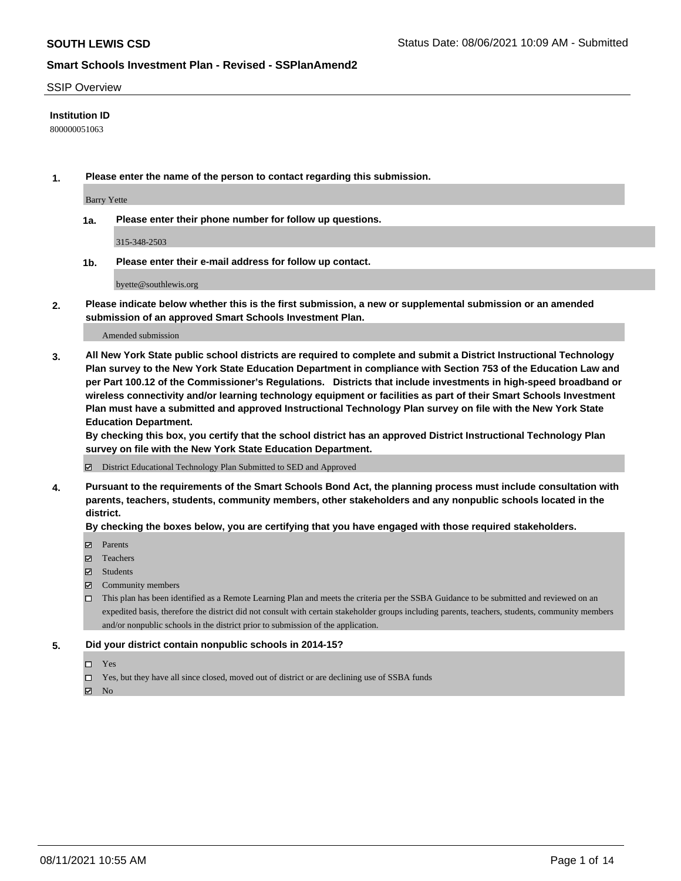### SSIP Overview

### **Institution ID**

800000051063

**1. Please enter the name of the person to contact regarding this submission.**

Barry Yette

**1a. Please enter their phone number for follow up questions.**

315-348-2503

**1b. Please enter their e-mail address for follow up contact.**

byette@southlewis.org

**2. Please indicate below whether this is the first submission, a new or supplemental submission or an amended submission of an approved Smart Schools Investment Plan.**

#### Amended submission

**3. All New York State public school districts are required to complete and submit a District Instructional Technology Plan survey to the New York State Education Department in compliance with Section 753 of the Education Law and per Part 100.12 of the Commissioner's Regulations. Districts that include investments in high-speed broadband or wireless connectivity and/or learning technology equipment or facilities as part of their Smart Schools Investment Plan must have a submitted and approved Instructional Technology Plan survey on file with the New York State Education Department.** 

**By checking this box, you certify that the school district has an approved District Instructional Technology Plan survey on file with the New York State Education Department.**

District Educational Technology Plan Submitted to SED and Approved

**4. Pursuant to the requirements of the Smart Schools Bond Act, the planning process must include consultation with parents, teachers, students, community members, other stakeholders and any nonpublic schools located in the district.** 

### **By checking the boxes below, you are certifying that you have engaged with those required stakeholders.**

- **Parents**
- Teachers
- Students
- $\boxtimes$  Community members
- This plan has been identified as a Remote Learning Plan and meets the criteria per the SSBA Guidance to be submitted and reviewed on an expedited basis, therefore the district did not consult with certain stakeholder groups including parents, teachers, students, community members and/or nonpublic schools in the district prior to submission of the application.
- **5. Did your district contain nonpublic schools in 2014-15?**
	- □ Yes
	- □ Yes, but they have all since closed, moved out of district or are declining use of SSBA funds

 $M$  No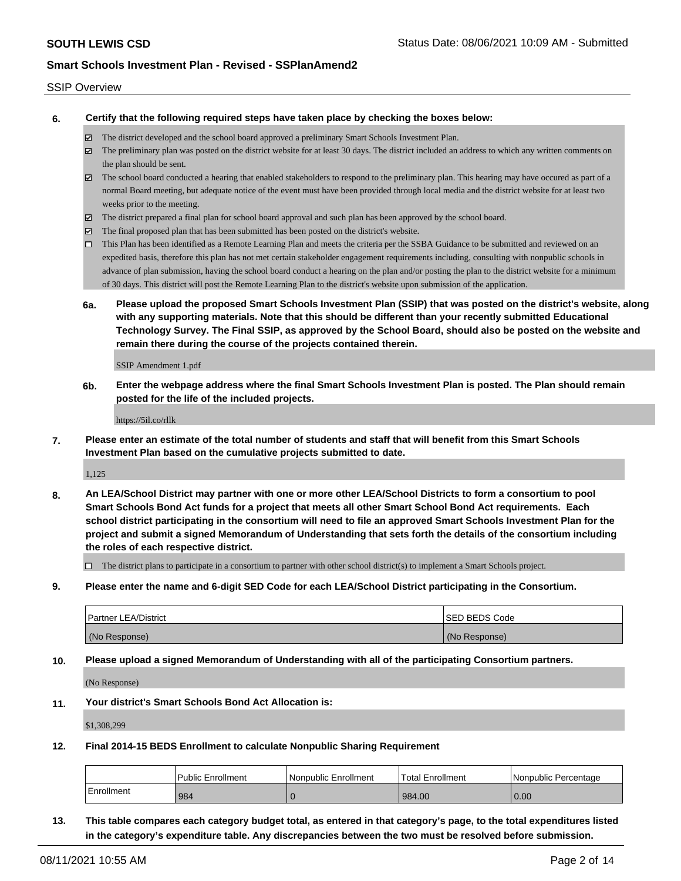#### SSIP Overview

**6. Certify that the following required steps have taken place by checking the boxes below:**

- The district developed and the school board approved a preliminary Smart Schools Investment Plan.
- The preliminary plan was posted on the district website for at least 30 days. The district included an address to which any written comments on the plan should be sent.
- $\boxtimes$  The school board conducted a hearing that enabled stakeholders to respond to the preliminary plan. This hearing may have occured as part of a normal Board meeting, but adequate notice of the event must have been provided through local media and the district website for at least two weeks prior to the meeting.
- The district prepared a final plan for school board approval and such plan has been approved by the school board.
- $\boxtimes$  The final proposed plan that has been submitted has been posted on the district's website.
- This Plan has been identified as a Remote Learning Plan and meets the criteria per the SSBA Guidance to be submitted and reviewed on an expedited basis, therefore this plan has not met certain stakeholder engagement requirements including, consulting with nonpublic schools in advance of plan submission, having the school board conduct a hearing on the plan and/or posting the plan to the district website for a minimum of 30 days. This district will post the Remote Learning Plan to the district's website upon submission of the application.
- **6a. Please upload the proposed Smart Schools Investment Plan (SSIP) that was posted on the district's website, along with any supporting materials. Note that this should be different than your recently submitted Educational Technology Survey. The Final SSIP, as approved by the School Board, should also be posted on the website and remain there during the course of the projects contained therein.**

SSIP Amendment 1.pdf

**6b. Enter the webpage address where the final Smart Schools Investment Plan is posted. The Plan should remain posted for the life of the included projects.**

https://5il.co/rllk

**7. Please enter an estimate of the total number of students and staff that will benefit from this Smart Schools Investment Plan based on the cumulative projects submitted to date.**

1,125

**8. An LEA/School District may partner with one or more other LEA/School Districts to form a consortium to pool Smart Schools Bond Act funds for a project that meets all other Smart School Bond Act requirements. Each school district participating in the consortium will need to file an approved Smart Schools Investment Plan for the project and submit a signed Memorandum of Understanding that sets forth the details of the consortium including the roles of each respective district.**

 $\Box$  The district plans to participate in a consortium to partner with other school district(s) to implement a Smart Schools project.

**9. Please enter the name and 6-digit SED Code for each LEA/School District participating in the Consortium.**

| <b>Partner LEA/District</b> | <b>ISED BEDS Code</b> |
|-----------------------------|-----------------------|
| (No Response)               | (No Response)         |

**10. Please upload a signed Memorandum of Understanding with all of the participating Consortium partners.**

(No Response)

**11. Your district's Smart Schools Bond Act Allocation is:**

\$1,308,299

**12. Final 2014-15 BEDS Enrollment to calculate Nonpublic Sharing Requirement**

|            | <b>Public Enrollment</b> | l Nonpublic Enrollment | Total Enrollment | l Nonpublic Percentage |
|------------|--------------------------|------------------------|------------------|------------------------|
| Enrollment | 984                      |                        | 984.00           | 0.00                   |

**13. This table compares each category budget total, as entered in that category's page, to the total expenditures listed in the category's expenditure table. Any discrepancies between the two must be resolved before submission.**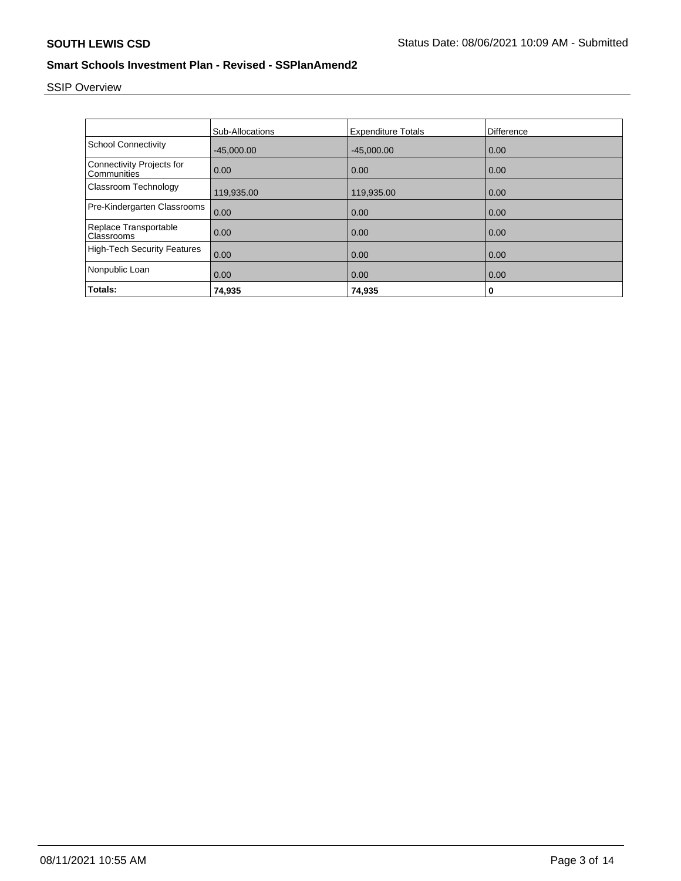# SSIP Overview

|                                                 | <b>Sub-Allocations</b> | <b>Expenditure Totals</b> | <b>Difference</b> |
|-------------------------------------------------|------------------------|---------------------------|-------------------|
| <b>School Connectivity</b>                      | $-45.000.00$           | $-45,000.00$              | 0.00              |
| <b>Connectivity Projects for</b><br>Communities | 0.00                   | 0.00                      | 0.00              |
| Classroom Technology                            | 119,935.00             | 119,935.00                | 0.00              |
| Pre-Kindergarten Classrooms                     | 0.00                   | 0.00                      | 0.00              |
| Replace Transportable<br>Classrooms             | 0.00                   | 0.00                      | 0.00              |
| <b>High-Tech Security Features</b>              | 0.00                   | 0.00                      | 0.00              |
| Nonpublic Loan                                  | 0.00                   | 0.00                      | 0.00              |
| Totals:                                         | 74,935                 | 74,935                    | 0                 |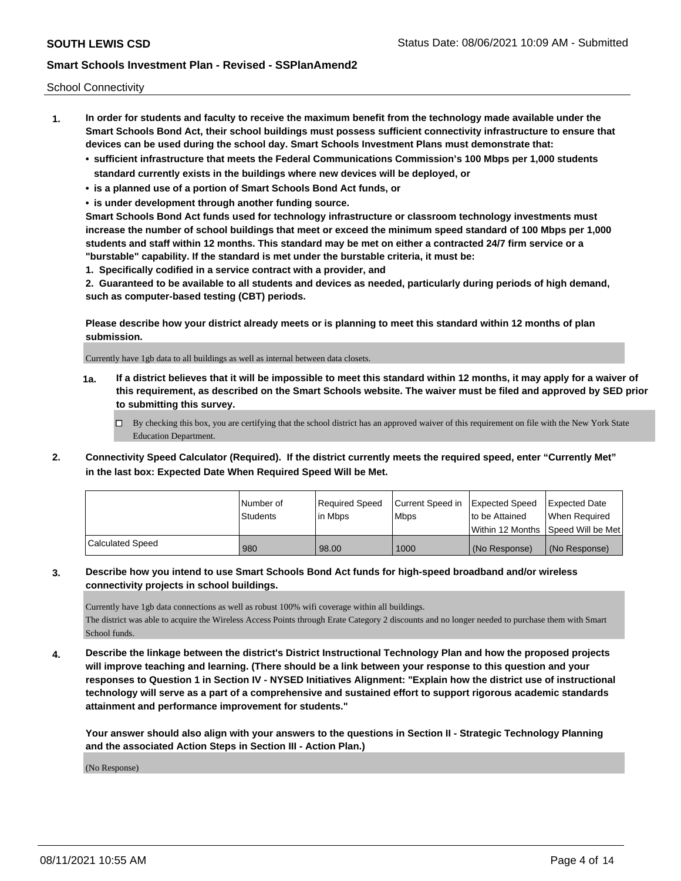School Connectivity

- **1. In order for students and faculty to receive the maximum benefit from the technology made available under the Smart Schools Bond Act, their school buildings must possess sufficient connectivity infrastructure to ensure that devices can be used during the school day. Smart Schools Investment Plans must demonstrate that:**
	- **• sufficient infrastructure that meets the Federal Communications Commission's 100 Mbps per 1,000 students standard currently exists in the buildings where new devices will be deployed, or**
	- **• is a planned use of a portion of Smart Schools Bond Act funds, or**
	- **• is under development through another funding source.**

**Smart Schools Bond Act funds used for technology infrastructure or classroom technology investments must increase the number of school buildings that meet or exceed the minimum speed standard of 100 Mbps per 1,000 students and staff within 12 months. This standard may be met on either a contracted 24/7 firm service or a "burstable" capability. If the standard is met under the burstable criteria, it must be:**

**1. Specifically codified in a service contract with a provider, and**

**2. Guaranteed to be available to all students and devices as needed, particularly during periods of high demand, such as computer-based testing (CBT) periods.**

**Please describe how your district already meets or is planning to meet this standard within 12 months of plan submission.**

Currently have 1gb data to all buildings as well as internal between data closets.

**1a. If a district believes that it will be impossible to meet this standard within 12 months, it may apply for a waiver of this requirement, as described on the Smart Schools website. The waiver must be filed and approved by SED prior to submitting this survey.**

 $\Box$  By checking this box, you are certifying that the school district has an approved waiver of this requirement on file with the New York State Education Department.

**2. Connectivity Speed Calculator (Required). If the district currently meets the required speed, enter "Currently Met" in the last box: Expected Date When Required Speed Will be Met.**

|                  | l Number of     | Required Speed | Current Speed in | Expected Speed | <b>Expected Date</b>                    |
|------------------|-----------------|----------------|------------------|----------------|-----------------------------------------|
|                  | <b>Students</b> | l in Mbps      | <b>Mbps</b>      | to be Attained | When Required                           |
|                  |                 |                |                  |                | l Within 12 Months ISpeed Will be Met l |
| Calculated Speed | 980             | 98.00          | 1000             | (No Response)  | (No Response)                           |

### **3. Describe how you intend to use Smart Schools Bond Act funds for high-speed broadband and/or wireless connectivity projects in school buildings.**

Currently have 1gb data connections as well as robust 100% wifi coverage within all buildings. The district was able to acquire the Wireless Access Points through Erate Category 2 discounts and no longer needed to purchase them with Smart School funds.

**4. Describe the linkage between the district's District Instructional Technology Plan and how the proposed projects will improve teaching and learning. (There should be a link between your response to this question and your responses to Question 1 in Section IV - NYSED Initiatives Alignment: "Explain how the district use of instructional technology will serve as a part of a comprehensive and sustained effort to support rigorous academic standards attainment and performance improvement for students."** 

**Your answer should also align with your answers to the questions in Section II - Strategic Technology Planning and the associated Action Steps in Section III - Action Plan.)**

(No Response)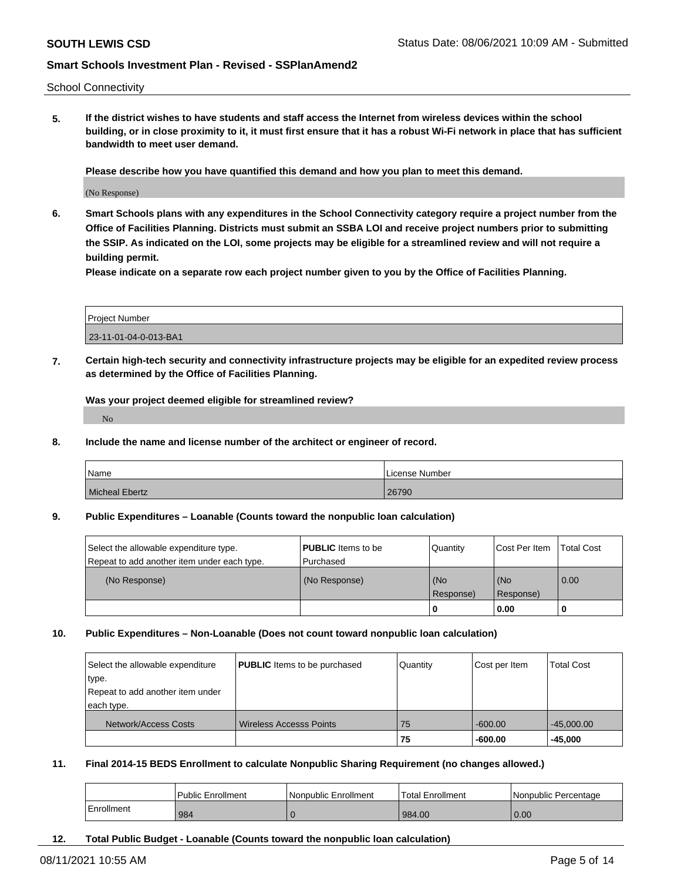School Connectivity

**5. If the district wishes to have students and staff access the Internet from wireless devices within the school building, or in close proximity to it, it must first ensure that it has a robust Wi-Fi network in place that has sufficient bandwidth to meet user demand.**

**Please describe how you have quantified this demand and how you plan to meet this demand.**

(No Response)

**6. Smart Schools plans with any expenditures in the School Connectivity category require a project number from the Office of Facilities Planning. Districts must submit an SSBA LOI and receive project numbers prior to submitting the SSIP. As indicated on the LOI, some projects may be eligible for a streamlined review and will not require a building permit.**

**Please indicate on a separate row each project number given to you by the Office of Facilities Planning.**

| Project Number        |  |
|-----------------------|--|
| 23-11-01-04-0-013-BA1 |  |

**7. Certain high-tech security and connectivity infrastructure projects may be eligible for an expedited review process as determined by the Office of Facilities Planning.**

**Was your project deemed eligible for streamlined review?**

No

**8. Include the name and license number of the architect or engineer of record.**

| Name           | License Number |
|----------------|----------------|
| Micheal Ebertz | 26790          |

#### **9. Public Expenditures – Loanable (Counts toward the nonpublic loan calculation)**

| Select the allowable expenditure type.<br>Repeat to add another item under each type. | <b>PUBLIC</b> Items to be<br>l Purchased | Quantity  | Cost Per Item | Total Cost |
|---------------------------------------------------------------------------------------|------------------------------------------|-----------|---------------|------------|
| (No Response)                                                                         | (No Response)                            | (No       | (No           | 0.00       |
|                                                                                       |                                          | Response) | Response)     |            |
|                                                                                       |                                          | -0        | 0.00          |            |

#### **10. Public Expenditures – Non-Loanable (Does not count toward nonpublic loan calculation)**

| Select the allowable expenditure<br>type.<br>Repeat to add another item under | <b>PUBLIC</b> Items to be purchased | Quantity | Cost per Item | <b>Total Cost</b> |
|-------------------------------------------------------------------------------|-------------------------------------|----------|---------------|-------------------|
| each type.                                                                    |                                     |          |               |                   |
| Network/Access Costs                                                          | <b>Wireless Accesss Points</b>      | 75       | $-600.00$     | $-45,000.00$      |
|                                                                               |                                     | 75       | $-600.00$     | $-45.000$         |

### **11. Final 2014-15 BEDS Enrollment to calculate Nonpublic Sharing Requirement (no changes allowed.)**

|            | Public Enrollment | Nonpublic Enrollment | Total Enrollment | l Nonpublic Percentage |
|------------|-------------------|----------------------|------------------|------------------------|
| Enrollment | 984               |                      | 984.00           | 0.00                   |

**12. Total Public Budget - Loanable (Counts toward the nonpublic loan calculation)**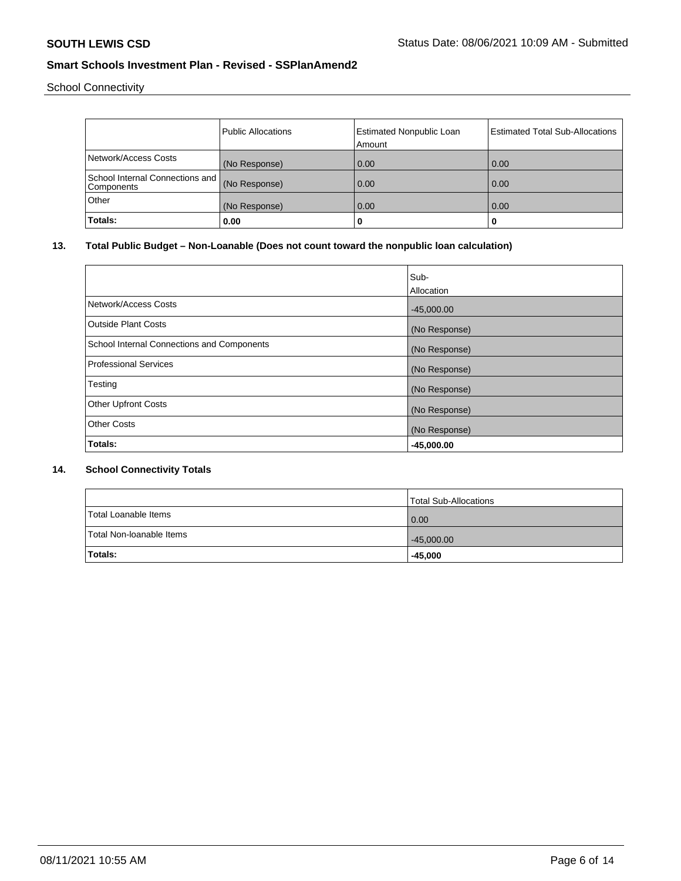School Connectivity

|                                               | Public Allocations |                                 | <b>Estimated Total Sub-Allocations</b> |
|-----------------------------------------------|--------------------|---------------------------------|----------------------------------------|
|                                               |                    | <b>Estimated Nonpublic Loan</b> |                                        |
|                                               |                    | Amount                          |                                        |
| Network/Access Costs                          | (No Response)      | 0.00                            | 0.00                                   |
| School Internal Connections and<br>Components | (No Response)      | 0.00                            | 0.00                                   |
| Other                                         | (No Response)      | 0.00                            | 0.00                                   |
| Totals:                                       | 0.00               | 0                               |                                        |

# **13. Total Public Budget – Non-Loanable (Does not count toward the nonpublic loan calculation)**

|                                            | Sub-<br>Allocation |
|--------------------------------------------|--------------------|
| Network/Access Costs                       | $-45,000.00$       |
| Outside Plant Costs                        | (No Response)      |
| School Internal Connections and Components | (No Response)      |
| Professional Services                      | (No Response)      |
| Testing                                    | (No Response)      |
| <b>Other Upfront Costs</b>                 | (No Response)      |
| <b>Other Costs</b>                         | (No Response)      |
| Totals:                                    | $-45,000.00$       |

### **14. School Connectivity Totals**

|                          | <b>Total Sub-Allocations</b> |
|--------------------------|------------------------------|
| Total Loanable Items     | 0.00                         |
| Total Non-Ioanable Items | $-45,000.00$                 |
| <b>Totals:</b>           | -45,000                      |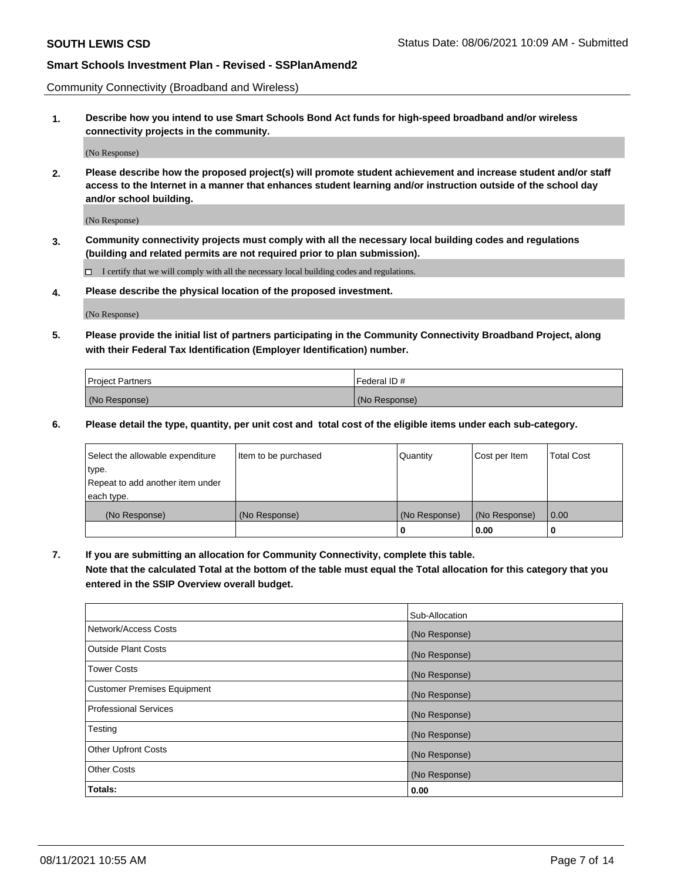Community Connectivity (Broadband and Wireless)

**1. Describe how you intend to use Smart Schools Bond Act funds for high-speed broadband and/or wireless connectivity projects in the community.**

(No Response)

**2. Please describe how the proposed project(s) will promote student achievement and increase student and/or staff access to the Internet in a manner that enhances student learning and/or instruction outside of the school day and/or school building.**

(No Response)

**3. Community connectivity projects must comply with all the necessary local building codes and regulations (building and related permits are not required prior to plan submission).**

 $\Box$  I certify that we will comply with all the necessary local building codes and regulations.

**4. Please describe the physical location of the proposed investment.**

(No Response)

**5. Please provide the initial list of partners participating in the Community Connectivity Broadband Project, along with their Federal Tax Identification (Employer Identification) number.**

| <b>Project Partners</b> | l Federal ID # |
|-------------------------|----------------|
| (No Response)           | (No Response)  |

**6. Please detail the type, quantity, per unit cost and total cost of the eligible items under each sub-category.**

| Select the allowable expenditure | Item to be purchased | Quantity      | Cost per Item | <b>Total Cost</b> |
|----------------------------------|----------------------|---------------|---------------|-------------------|
| type.                            |                      |               |               |                   |
| Repeat to add another item under |                      |               |               |                   |
| each type.                       |                      |               |               |                   |
| (No Response)                    | (No Response)        | (No Response) | (No Response) | 0.00              |
|                                  |                      | U             | 0.00          |                   |

**7. If you are submitting an allocation for Community Connectivity, complete this table.**

**Note that the calculated Total at the bottom of the table must equal the Total allocation for this category that you entered in the SSIP Overview overall budget.**

|                                    | Sub-Allocation |
|------------------------------------|----------------|
| Network/Access Costs               | (No Response)  |
| Outside Plant Costs                | (No Response)  |
| <b>Tower Costs</b>                 | (No Response)  |
| <b>Customer Premises Equipment</b> | (No Response)  |
| <b>Professional Services</b>       | (No Response)  |
| Testing                            | (No Response)  |
| <b>Other Upfront Costs</b>         | (No Response)  |
| <b>Other Costs</b>                 | (No Response)  |
| Totals:                            | 0.00           |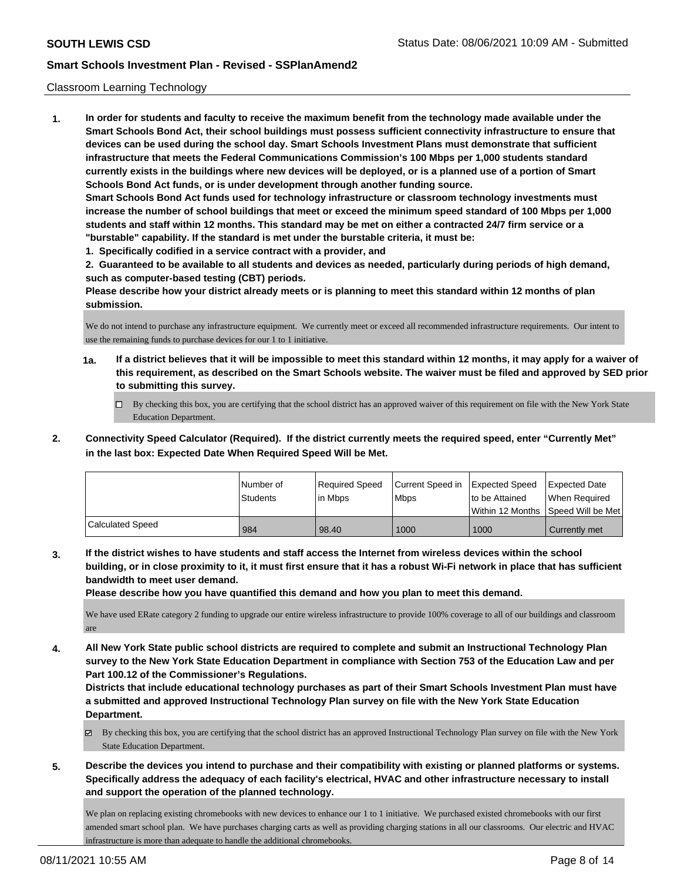### Classroom Learning Technology

**1. In order for students and faculty to receive the maximum benefit from the technology made available under the Smart Schools Bond Act, their school buildings must possess sufficient connectivity infrastructure to ensure that devices can be used during the school day. Smart Schools Investment Plans must demonstrate that sufficient infrastructure that meets the Federal Communications Commission's 100 Mbps per 1,000 students standard currently exists in the buildings where new devices will be deployed, or is a planned use of a portion of Smart Schools Bond Act funds, or is under development through another funding source. Smart Schools Bond Act funds used for technology infrastructure or classroom technology investments must increase the number of school buildings that meet or exceed the minimum speed standard of 100 Mbps per 1,000 students and staff within 12 months. This standard may be met on either a contracted 24/7 firm service or a "burstable" capability. If the standard is met under the burstable criteria, it must be:**

**1. Specifically codified in a service contract with a provider, and**

**2. Guaranteed to be available to all students and devices as needed, particularly during periods of high demand, such as computer-based testing (CBT) periods.**

**Please describe how your district already meets or is planning to meet this standard within 12 months of plan submission.**

We do not intend to purchase any infrastructure equipment. We currently meet or exceed all recommended infrastructure requirements. Our intent to use the remaining funds to purchase devices for our 1 to 1 initiative.

- **1a. If a district believes that it will be impossible to meet this standard within 12 months, it may apply for a waiver of this requirement, as described on the Smart Schools website. The waiver must be filed and approved by SED prior to submitting this survey.**
	- By checking this box, you are certifying that the school district has an approved waiver of this requirement on file with the New York State Education Department.
- **2. Connectivity Speed Calculator (Required). If the district currently meets the required speed, enter "Currently Met" in the last box: Expected Date When Required Speed Will be Met.**

|                         | l Number of<br>Students | Required Speed<br>l in Mbps | Current Speed in<br>l Mbps | Expected Speed<br>to be Attained | <b>Expected Date</b><br>When Required<br> Within 12 Months  Speed Will be Met |
|-------------------------|-------------------------|-----------------------------|----------------------------|----------------------------------|-------------------------------------------------------------------------------|
| <b>Calculated Speed</b> | 984                     | 98.40                       | 1000                       | 1000                             | Currently met                                                                 |

**3. If the district wishes to have students and staff access the Internet from wireless devices within the school building, or in close proximity to it, it must first ensure that it has a robust Wi-Fi network in place that has sufficient bandwidth to meet user demand.**

**Please describe how you have quantified this demand and how you plan to meet this demand.**

We have used ERate category 2 funding to upgrade our entire wireless infrastructure to provide 100% coverage to all of our buildings and classroom are

**4. All New York State public school districts are required to complete and submit an Instructional Technology Plan survey to the New York State Education Department in compliance with Section 753 of the Education Law and per Part 100.12 of the Commissioner's Regulations.**

**Districts that include educational technology purchases as part of their Smart Schools Investment Plan must have a submitted and approved Instructional Technology Plan survey on file with the New York State Education Department.**

- By checking this box, you are certifying that the school district has an approved Instructional Technology Plan survey on file with the New York State Education Department.
- **5. Describe the devices you intend to purchase and their compatibility with existing or planned platforms or systems. Specifically address the adequacy of each facility's electrical, HVAC and other infrastructure necessary to install and support the operation of the planned technology.**

We plan on replacing existing chromebooks with new devices to enhance our 1 to 1 initiative. We purchased existed chromebooks with our first amended smart school plan. We have purchases charging carts as well as providing charging stations in all our classrooms. Our electric and HVAC infrastructure is more than adequate to handle the additional chromebooks.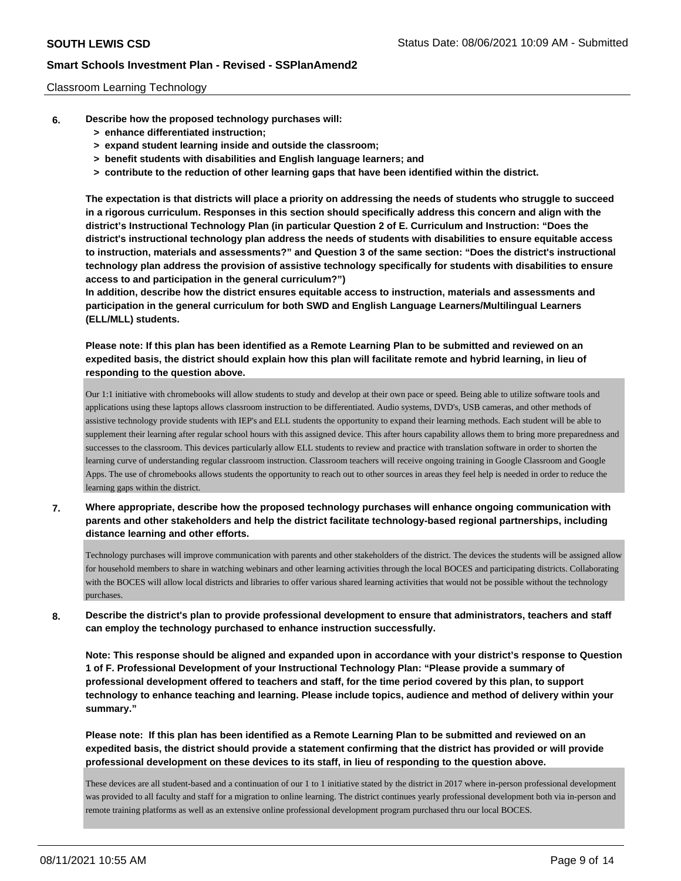### Classroom Learning Technology

- **6. Describe how the proposed technology purchases will:**
	- **> enhance differentiated instruction;**
	- **> expand student learning inside and outside the classroom;**
	- **> benefit students with disabilities and English language learners; and**
	- **> contribute to the reduction of other learning gaps that have been identified within the district.**

**The expectation is that districts will place a priority on addressing the needs of students who struggle to succeed in a rigorous curriculum. Responses in this section should specifically address this concern and align with the district's Instructional Technology Plan (in particular Question 2 of E. Curriculum and Instruction: "Does the district's instructional technology plan address the needs of students with disabilities to ensure equitable access to instruction, materials and assessments?" and Question 3 of the same section: "Does the district's instructional technology plan address the provision of assistive technology specifically for students with disabilities to ensure access to and participation in the general curriculum?")**

**In addition, describe how the district ensures equitable access to instruction, materials and assessments and participation in the general curriculum for both SWD and English Language Learners/Multilingual Learners (ELL/MLL) students.**

**Please note: If this plan has been identified as a Remote Learning Plan to be submitted and reviewed on an expedited basis, the district should explain how this plan will facilitate remote and hybrid learning, in lieu of responding to the question above.**

Our 1:1 initiative with chromebooks will allow students to study and develop at their own pace or speed. Being able to utilize software tools and applications using these laptops allows classroom instruction to be differentiated. Audio systems, DVD's, USB cameras, and other methods of assistive technology provide students with IEP's and ELL students the opportunity to expand their learning methods. Each student will be able to supplement their learning after regular school hours with this assigned device. This after hours capability allows them to bring more preparedness and successes to the classroom. This devices particularly allow ELL students to review and practice with translation software in order to shorten the learning curve of understanding regular classroom instruction. Classroom teachers will receive ongoing training in Google Classroom and Google Apps. The use of chromebooks allows students the opportunity to reach out to other sources in areas they feel help is needed in order to reduce the learning gaps within the district.

**7. Where appropriate, describe how the proposed technology purchases will enhance ongoing communication with parents and other stakeholders and help the district facilitate technology-based regional partnerships, including distance learning and other efforts.**

Technology purchases will improve communication with parents and other stakeholders of the district. The devices the students will be assigned allow for household members to share in watching webinars and other learning activities through the local BOCES and participating districts. Collaborating with the BOCES will allow local districts and libraries to offer various shared learning activities that would not be possible without the technology purchases.

**8. Describe the district's plan to provide professional development to ensure that administrators, teachers and staff can employ the technology purchased to enhance instruction successfully.**

**Note: This response should be aligned and expanded upon in accordance with your district's response to Question 1 of F. Professional Development of your Instructional Technology Plan: "Please provide a summary of professional development offered to teachers and staff, for the time period covered by this plan, to support technology to enhance teaching and learning. Please include topics, audience and method of delivery within your summary."**

**Please note: If this plan has been identified as a Remote Learning Plan to be submitted and reviewed on an expedited basis, the district should provide a statement confirming that the district has provided or will provide professional development on these devices to its staff, in lieu of responding to the question above.**

These devices are all student-based and a continuation of our 1 to 1 initiative stated by the district in 2017 where in-person professional development was provided to all faculty and staff for a migration to online learning. The district continues yearly professional development both via in-person and remote training platforms as well as an extensive online professional development program purchased thru our local BOCES.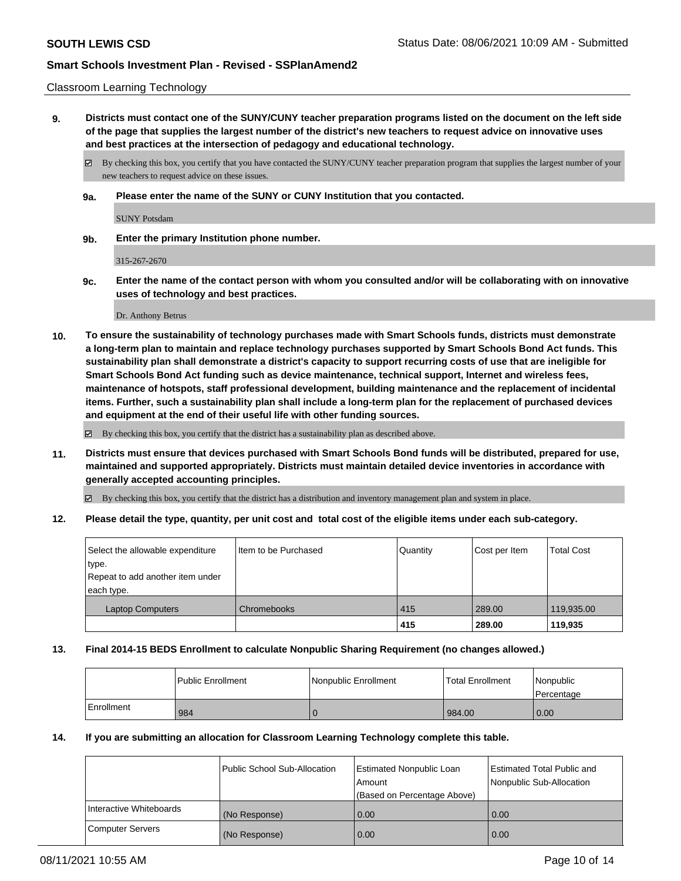### Classroom Learning Technology

**9. Districts must contact one of the SUNY/CUNY teacher preparation programs listed on the document on the left side of the page that supplies the largest number of the district's new teachers to request advice on innovative uses and best practices at the intersection of pedagogy and educational technology.**

By checking this box, you certify that you have contacted the SUNY/CUNY teacher preparation program that supplies the largest number of your new teachers to request advice on these issues.

**9a. Please enter the name of the SUNY or CUNY Institution that you contacted.**

SUNY Potsdam

**9b. Enter the primary Institution phone number.**

315-267-2670

**9c. Enter the name of the contact person with whom you consulted and/or will be collaborating with on innovative uses of technology and best practices.**

Dr. Anthony Betrus

**10. To ensure the sustainability of technology purchases made with Smart Schools funds, districts must demonstrate a long-term plan to maintain and replace technology purchases supported by Smart Schools Bond Act funds. This sustainability plan shall demonstrate a district's capacity to support recurring costs of use that are ineligible for Smart Schools Bond Act funding such as device maintenance, technical support, Internet and wireless fees, maintenance of hotspots, staff professional development, building maintenance and the replacement of incidental items. Further, such a sustainability plan shall include a long-term plan for the replacement of purchased devices and equipment at the end of their useful life with other funding sources.**

By checking this box, you certify that the district has a sustainability plan as described above.

**11. Districts must ensure that devices purchased with Smart Schools Bond funds will be distributed, prepared for use, maintained and supported appropriately. Districts must maintain detailed device inventories in accordance with generally accepted accounting principles.**

By checking this box, you certify that the district has a distribution and inventory management plan and system in place.

**12. Please detail the type, quantity, per unit cost and total cost of the eligible items under each sub-category.**

| Select the allowable expenditure<br>type.<br>Repeat to add another item under<br>each type. | Item to be Purchased | Quantity | Cost per Item | <b>Total Cost</b> |
|---------------------------------------------------------------------------------------------|----------------------|----------|---------------|-------------------|
| <b>Laptop Computers</b>                                                                     | Chromebooks          | 415      | 289.00        | 119,935.00        |
|                                                                                             |                      | 415      | 289.00        | 119,935           |

### **13. Final 2014-15 BEDS Enrollment to calculate Nonpublic Sharing Requirement (no changes allowed.)**

|            | l Public Enrollment | Nonpublic Enrollment | <b>Total Enrollment</b> | Nonpublic<br>l Percentage |
|------------|---------------------|----------------------|-------------------------|---------------------------|
| Enrollment | 984                 |                      | 984.00                  | 0.00                      |

#### **14. If you are submitting an allocation for Classroom Learning Technology complete this table.**

|                         | Public School Sub-Allocation | Estimated Nonpublic Loan<br>Amount | <b>Estimated Total Public and</b><br>Nonpublic Sub-Allocation |
|-------------------------|------------------------------|------------------------------------|---------------------------------------------------------------|
|                         |                              | (Based on Percentage Above)        |                                                               |
| Interactive Whiteboards | (No Response)                | 0.00                               | 0.00                                                          |
| <b>Computer Servers</b> | (No Response)                | 0.00                               | 0.00                                                          |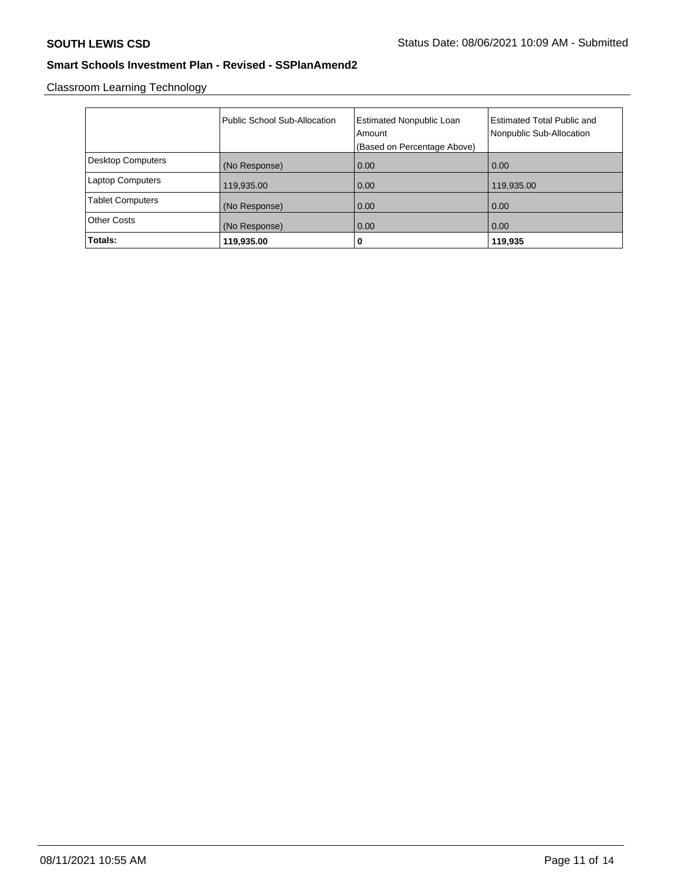Classroom Learning Technology

|                          | Public School Sub-Allocation | <b>Estimated Nonpublic Loan</b><br>Amount<br>(Based on Percentage Above) | <b>Estimated Total Public and</b><br>Nonpublic Sub-Allocation |
|--------------------------|------------------------------|--------------------------------------------------------------------------|---------------------------------------------------------------|
| <b>Desktop Computers</b> | (No Response)                | 0.00                                                                     | 0.00                                                          |
| <b>Laptop Computers</b>  | 119,935.00                   | 0.00                                                                     | 119,935.00                                                    |
| <b>Tablet Computers</b>  | (No Response)                | 0.00                                                                     | 0.00                                                          |
| <b>Other Costs</b>       | (No Response)                | 0.00                                                                     | 0.00                                                          |
| Totals:                  | 119,935.00                   | 0                                                                        | 119,935                                                       |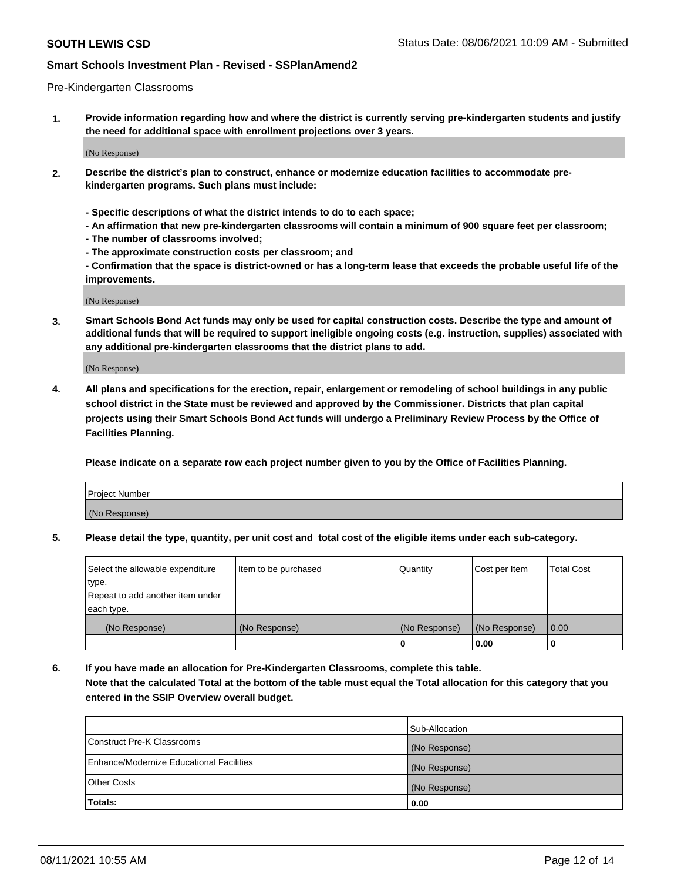### Pre-Kindergarten Classrooms

**1. Provide information regarding how and where the district is currently serving pre-kindergarten students and justify the need for additional space with enrollment projections over 3 years.**

(No Response)

- **2. Describe the district's plan to construct, enhance or modernize education facilities to accommodate prekindergarten programs. Such plans must include:**
	- **Specific descriptions of what the district intends to do to each space;**
	- **An affirmation that new pre-kindergarten classrooms will contain a minimum of 900 square feet per classroom;**
	- **The number of classrooms involved;**
	- **The approximate construction costs per classroom; and**
	- **Confirmation that the space is district-owned or has a long-term lease that exceeds the probable useful life of the improvements.**

(No Response)

**3. Smart Schools Bond Act funds may only be used for capital construction costs. Describe the type and amount of additional funds that will be required to support ineligible ongoing costs (e.g. instruction, supplies) associated with any additional pre-kindergarten classrooms that the district plans to add.**

(No Response)

**4. All plans and specifications for the erection, repair, enlargement or remodeling of school buildings in any public school district in the State must be reviewed and approved by the Commissioner. Districts that plan capital projects using their Smart Schools Bond Act funds will undergo a Preliminary Review Process by the Office of Facilities Planning.**

**Please indicate on a separate row each project number given to you by the Office of Facilities Planning.**

| Project Number |  |
|----------------|--|
| (No Response)  |  |
|                |  |

**5. Please detail the type, quantity, per unit cost and total cost of the eligible items under each sub-category.**

| Select the allowable expenditure | Item to be purchased | Quantity      | Cost per Item | <b>Total Cost</b> |
|----------------------------------|----------------------|---------------|---------------|-------------------|
| type.                            |                      |               |               |                   |
| Repeat to add another item under |                      |               |               |                   |
| each type.                       |                      |               |               |                   |
| (No Response)                    | (No Response)        | (No Response) | (No Response) | 0.00              |
|                                  |                      | υ             | 0.00          |                   |

**6. If you have made an allocation for Pre-Kindergarten Classrooms, complete this table. Note that the calculated Total at the bottom of the table must equal the Total allocation for this category that you entered in the SSIP Overview overall budget.**

|                                          | Sub-Allocation |
|------------------------------------------|----------------|
| Construct Pre-K Classrooms               | (No Response)  |
| Enhance/Modernize Educational Facilities | (No Response)  |
| <b>Other Costs</b>                       | (No Response)  |
| Totals:                                  | 0.00           |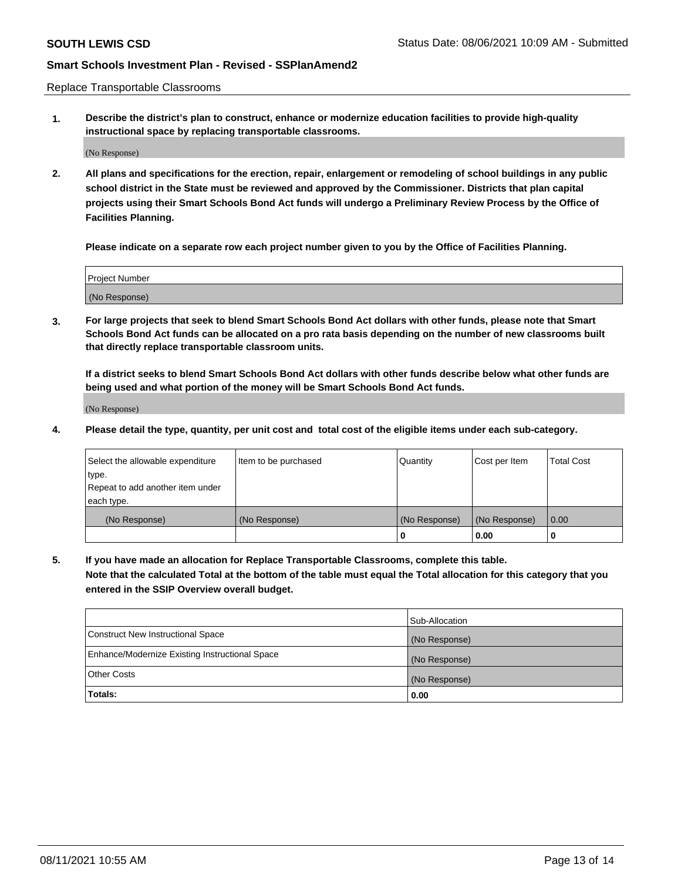Replace Transportable Classrooms

**1. Describe the district's plan to construct, enhance or modernize education facilities to provide high-quality instructional space by replacing transportable classrooms.**

(No Response)

**2. All plans and specifications for the erection, repair, enlargement or remodeling of school buildings in any public school district in the State must be reviewed and approved by the Commissioner. Districts that plan capital projects using their Smart Schools Bond Act funds will undergo a Preliminary Review Process by the Office of Facilities Planning.**

**Please indicate on a separate row each project number given to you by the Office of Facilities Planning.**

| Project Number |  |
|----------------|--|
|                |  |
|                |  |
|                |  |
| (No Response)  |  |
|                |  |
|                |  |

**3. For large projects that seek to blend Smart Schools Bond Act dollars with other funds, please note that Smart Schools Bond Act funds can be allocated on a pro rata basis depending on the number of new classrooms built that directly replace transportable classroom units.**

**If a district seeks to blend Smart Schools Bond Act dollars with other funds describe below what other funds are being used and what portion of the money will be Smart Schools Bond Act funds.**

(No Response)

**4. Please detail the type, quantity, per unit cost and total cost of the eligible items under each sub-category.**

| Select the allowable expenditure | Item to be purchased | Quantity      | Cost per Item | Total Cost |
|----------------------------------|----------------------|---------------|---------------|------------|
| ∣type.                           |                      |               |               |            |
| Repeat to add another item under |                      |               |               |            |
| each type.                       |                      |               |               |            |
| (No Response)                    | (No Response)        | (No Response) | (No Response) | 0.00       |
|                                  |                      | u             | 0.00          |            |

**5. If you have made an allocation for Replace Transportable Classrooms, complete this table. Note that the calculated Total at the bottom of the table must equal the Total allocation for this category that you entered in the SSIP Overview overall budget.**

|                                                | Sub-Allocation |
|------------------------------------------------|----------------|
| Construct New Instructional Space              | (No Response)  |
| Enhance/Modernize Existing Instructional Space | (No Response)  |
| Other Costs                                    | (No Response)  |
| Totals:                                        | 0.00           |